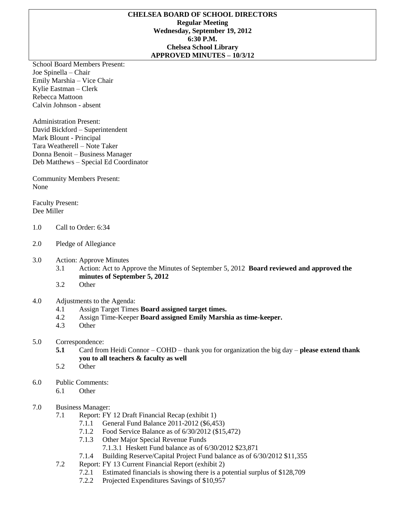#### **CHELSEA BOARD OF SCHOOL DIRECTORS Regular Meeting Wednesday, September 19, 2012 6:30 P.M. Chelsea School Library APPROVED MINUTES – 10/3/12**

School Board Members Present: Joe Spinella – Chair Emily Marshia – Vice Chair Kylie Eastman – Clerk Rebecca Mattoon Calvin Johnson - absent

Administration Present: David Bickford – Superintendent Mark Blount - Principal Tara Weatherell – Note Taker Donna Benoit – Business Manager Deb Matthews – Special Ed Coordinator

Community Members Present: None

Faculty Present: Dee Miller

- 1.0 Call to Order: 6:34
- 2.0 Pledge of Allegiance
- 3.0 Action: Approve Minutes
	- 3.1 Action: Act to Approve the Minutes of September 5, 2012 **Board reviewed and approved the minutes of September 5, 2012**
	- 3.2 Other
- 4.0 Adjustments to the Agenda:
	- 4.1 Assign Target Times **Board assigned target times.**
	- 4.2 Assign Time-Keeper **Board assigned Emily Marshia as time-keeper.**
	- 4.3 Other

# 5.0 Correspondence:

- **5.1** Card from Heidi Connor COHD thank you for organization the big day **please extend thank you to all teachers & faculty as well**
- 5.2 Other
- 6.0 Public Comments:
	- 6.1 Other

# 7.0 Business Manager:

- 7.1 Report: FY 12 Draft Financial Recap (exhibit 1)
	- 7.1.1 General Fund Balance 2011-2012 (\$6,453)
	- 7.1.2 Food Service Balance as of 6/30/2012 (\$15,472)
	- 7.1.3 Other Major Special Revenue Funds
		- 7.1.3.1 Heskett Fund balance as of 6/30/2012 \$23,871
	- 7.1.4 Building Reserve/Capital Project Fund balance as of 6/30/2012 \$11,355
- 7.2 Report: FY 13 Current Financial Report (exhibit 2)
	- 7.2.1 Estimated financials is showing there is a potential surplus of \$128,709
	- 7.2.2 Projected Expenditures Savings of \$10,957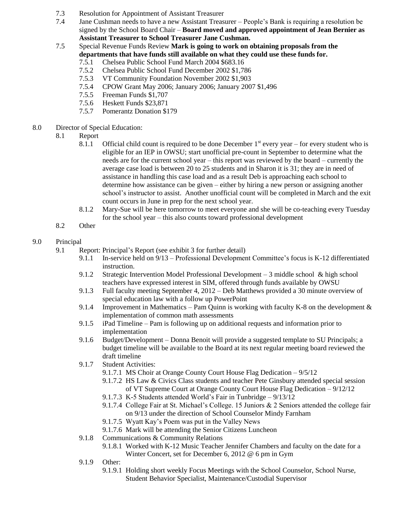- 7.3 Resolution for Appointment of Assistant Treasurer
- 7.4 Jane Cushman needs to have a new Assistant Treasurer People's Bank is requiring a resolution be signed by the School Board Chair – **Board moved and approved appointment of Jean Bernier as Assistant Treasurer to School Treasurer Jane Cushman.**
- 7.5 Special Revenue Funds Review **Mark is going to work on obtaining proposals from the departments that have funds still available on what they could use these funds for.** 
	- 7.5.1 Chelsea Public School Fund March 2004 \$683.16
	- 7.5.2 Chelsea Public School Fund December 2002 \$1,786
	- 7.5.3 VT Community Foundation November 2002 \$1,903
	- 7.5.4 CPOW Grant May 2006; January 2006; January 2007 \$1,496
	- 7.5.5 Freeman Funds \$1,707
	- 7.5.6 Heskett Funds \$23,871
	- 7.5.7 Pomerantz Donation \$179
- 8.0 Director of Special Education:
	- 8.1 Report
		- 8.1.1 Official child count is required to be done December  $1<sup>st</sup>$  every year for every student who is eligible for an IEP in OWSU; start unofficial pre-count in September to determine what the needs are for the current school year – this report was reviewed by the board – currently the average case load is between 20 to 25 students and in Sharon it is 31; they are in need of assistance in handling this case load and as a result Deb is approaching each school to determine how assistance can be given – either by hiring a new person or assigning another school's instructor to assist. Another unofficial count will be completed in March and the exit count occurs in June in prep for the next school year.
		- 8.1.2 Mary-Sue will be here tomorrow to meet everyone and she will be co-teaching every Tuesday for the school year – this also counts toward professional development
	- 8.2 Other

# 9.0 Principal

- 9.1 Report: Principal's Report (see exhibit 3 for further detail)
	- 9.1.1 In-service held on 9/13 Professional Development Committee's focus is K-12 differentiated instruction.
	- 9.1.2 Strategic Intervention Model Professional Development 3 middle school & high school teachers have expressed interest in SIM, offered through funds available by OWSU
	- 9.1.3 Full faculty meeting September 4, 2012 Deb Matthews provided a 30 minute overview of special education law with a follow up PowerPoint
	- 9.1.4 Improvement in Mathematics Pam Quinn is working with faculty K-8 on the development  $\&$ implementation of common math assessments
	- 9.1.5 iPad Timeline Pam is following up on additional requests and information prior to implementation
	- 9.1.6 Budget/Development Donna Benoit will provide a suggested template to SU Principals; a budget timeline will be available to the Board at its next regular meeting board reviewed the draft timeline
	- 9.1.7 Student Activities:
		- 9.1.7.1 MS Choir at Orange County Court House Flag Dedication 9/5/12
		- 9.1.7.2 HS Law & Civics Class students and teacher Pete Ginsbury attended special session of VT Supreme Court at Orange County Court House Flag Dedication – 9/12/12
		- 9.1.7.3 K-5 Students attended World's Fair in Tunbridge 9/13/12
		- 9.1.7.4 College Fair at St. Michael's College. 15 Juniors & 2 Seniors attended the college fair on 9/13 under the direction of School Counselor Mindy Farnham
		- 9.1.7.5 Wyatt Kay's Poem was put in the Valley News
		- 9.1.7.6 Mark will be attending the Senior Citizens Luncheon
	- 9.1.8 Communications & Community Relations
		- 9.1.8.1 Worked with K-12 Music Teacher Jennifer Chambers and faculty on the date for a Winter Concert, set for December 6, 2012 @ 6 pm in Gym
	- 9.1.9 Other:
		- 9.1.9.1 Holding short weekly Focus Meetings with the School Counselor, School Nurse, Student Behavior Specialist, Maintenance/Custodial Supervisor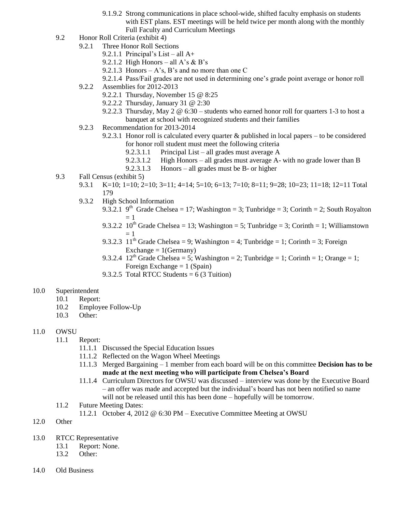- 9.1.9.2 Strong communications in place school-wide, shifted faculty emphasis on students with EST plans. EST meetings will be held twice per month along with the monthly Full Faculty and Curriculum Meetings
- 9.2 Honor Roll Criteria (exhibit 4)
	- 9.2.1 Three Honor Roll Sections
		- 9.2.1.1 Principal's List all  $A+$
		- 9.2.1.2 High Honors all A's  $\&$  B's
		- 9.2.1.3 Honors  $A$ 's, B's and no more than one C
		- 9.2.1.4 Pass/Fail grades are not used in determining one's grade point average or honor roll
	- 9.2.2 Assemblies for 2012-2013
		- 9.2.2.1 Thursday, November 15 @ 8:25
		- 9.2.2.2 Thursday, January 31 @ 2:30
		- 9.2.2.3 Thursday, May 2 @ 6:30 students who earned honor roll for quarters 1-3 to host a banquet at school with recognized students and their families
	- 9.2.3 Recommendation for 2013-2014
		- 9.2.3.1 Honor roll is calculated every quarter & published in local papers to be considered for honor roll student must meet the following criteria
			- 9.2.3.1.1 Principal List all grades must average A
			- 9.2.3.1.2 High Honors all grades must average A- with no grade lower than B
			- 9.2.3.1.3 Honors all grades must be B- or higher
- 9.3 Fall Census (exhibit 5)
	- 9.3.1 K=10; 1=10; 2=10; 3=11; 4=14; 5=10; 6=13; 7=10; 8=11; 9=28; 10=23; 11=18; 12=11 Total 179
	- 9.3.2 High School Information
		- 9.3.2.1 9<sup>th</sup> Grade Chelsea = 17; Washington = 3; Tunbridge = 3; Corinth = 2; South Royalton  $= 1$
		- 9.3.2.2 10<sup>th</sup> Grade Chelsea = 13; Washington = 5; Tunbridge = 3; Corinth = 1; Williamstown  $= 1$
		- 9.3.2.3  $11^{th}$  Grade Chelsea = 9; Washington = 4; Tunbridge = 1; Corinth = 3; Foreign Exchange  $= 1$ (Germany)
		- 9.3.2.4 12<sup>th</sup> Grade Chelsea = 5; Washington = 2; Tunbridge = 1; Corinth = 1; Orange = 1; Foreign Exchange  $= 1$  (Spain)
		- 9.3.2.5 Total RTCC Students =  $6(3 \text{ Tution})$

### 10.0 Superintendent

- 10.1 Report:
- 10.2 Employee Follow-Up
- 10.3 Other:

### 11.0 OWSU

- 11.1 Report:
	- 11.1.1 Discussed the Special Education Issues
	- 11.1.2 Reflected on the Wagon Wheel Meetings
	- 11.1.3 Merged Bargaining 1 member from each board will be on this committee **Decision has to be made at the next meeting who will participate from Chelsea's Board**
	- 11.1.4 Curriculum Directors for OWSU was discussed interview was done by the Executive Board – an offer was made and accepted but the individual's board has not been notified so name will not be released until this has been done – hopefully will be tomorrow.
- 11.2 Future Meeting Dates:
	- 11.2.1 October 4, 2012 @ 6:30 PM Executive Committee Meeting at OWSU
- 12.0 Other
- 13.0 RTCC Representative
	- 13.1 Report: None.
	- 13.2 Other:
- 14.0 Old Business